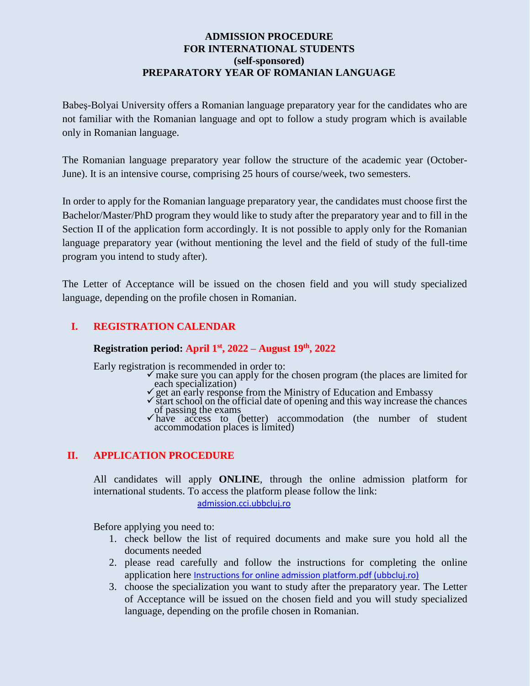## **ADMISSION PROCEDURE FOR INTERNATIONAL STUDENTS (self-sponsored) PREPARATORY YEAR OF ROMANIAN LANGUAGE**

Babeş-Bolyai University offers a Romanian language preparatory year for the candidates who are not familiar with the Romanian language and opt to follow a study program which is available only in Romanian language.

The Romanian language preparatory year follow the structure of the academic year (October-June). It is an intensive course, comprising 25 hours of course/week, two semesters.

In order to apply for the Romanian language preparatory year, the candidates must choose first the Bachelor/Master/PhD program they would like to study after the preparatory year and to fill in the Section II of the application form accordingly. It is not possible to apply only for the Romanian language preparatory year (without mentioning the level and the field of study of the full-time program you intend to study after).

The Letter of Acceptance will be issued on the chosen field and you will study specialized language, depending on the profile chosen in Romanian.

# **I. REGISTRATION CALENDAR**

#### **Registration period: April 1st , 2022 – August 19 th, 2022**

Early registration is recommended in order to:

- $\checkmark$  make sure you can apply for the chosen program (the places are limited for each specialization)
- get an early response from the Ministry of Education and Embassy
- $\checkmark$  start school on the official date of opening and this way increase the chances of passing the exams
- $\overline{\triangledown}$  have access to (better) accommodation (the number of student accommodation places is limited)

#### **II. APPLICATION PROCEDURE**

All candidates will apply **ONLINE**, through the online admission platform for international students. To access the platform please follow the link:

[admission.cci.ubbcluj.ro](http://admission.cci.ubbcluj.ro/)

Before applying you need to:

- 1. check bellow the list of required documents and make sure you hold all the documents needed
- 2. please read carefully and follow the instructions for completing the online application here [Instructions for online admission platform.pdf \(ubbcluj.ro\)](https://cci.ubbcluj.ro/degree_students/files/non-EU%20students/admitere%202022-2023/Instructions%20for%20online%20admission%20platform.pdf)
- 3. choose the specialization you want to study after the preparatory year. The Letter of Acceptance will be issued on the chosen field and you will study specialized language, depending on the profile chosen in Romanian.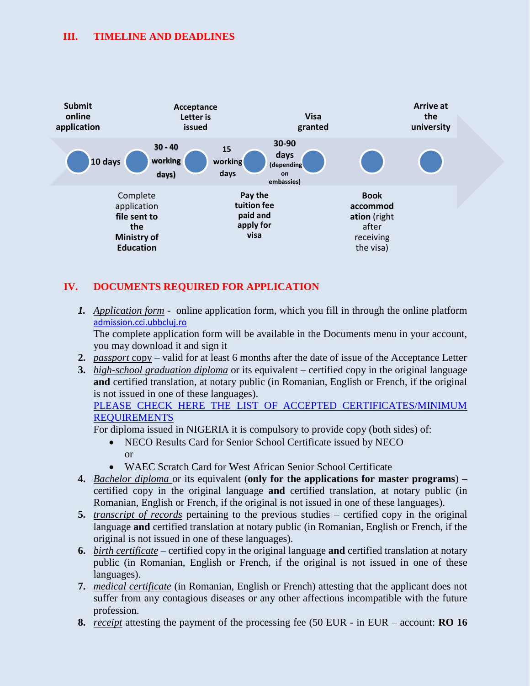## **III. TIMELINE AND DEADLINES**



# **IV. DOCUMENTS REQUIRED FOR APPLICATION**

*1. Application form* - online application form, which you fill in through the online platform [admission.cci.ubbcluj.ro](http://admission.cci.ubbcluj.ro/)

The complete application form will be available in the Documents menu in your account, you may download it and sign it

- **2.** *passport* copy valid for at least 6 months after the date of issue of the Acceptance Letter
- **3.** *high-school graduation diploma* or its equivalent certified copy in the original language **and** certified translation, at notary public (in Romanian, English or French, if the original is not issued in one of these languages).

```
PLEASE CHECK HERE THE LIST OF ACCEPTED CERTIFICATES/MINIMUM 
REQUIREMENTS
```
For diploma issued in NIGERIA it is compulsory to provide copy (both sides) of:

- NECO Results Card for Senior School Certificate issued by NECO or
- WAEC Scratch Card for West African Senior School Certificate
- **4.** *Bachelor diploma* or its equivalent (**only for the applications for master programs**) certified copy in the original language **and** certified translation, at notary public (in Romanian, English or French, if the original is not issued in one of these languages).
- **5.** *transcript of records* pertaining to the previous studies certified copy in the original language **and** certified translation at notary public (in Romanian, English or French, if the original is not issued in one of these languages).
- **6.** *birth certificate* certified copy in the original language **and** certified translation at notary public (in Romanian, English or French, if the original is not issued in one of these languages).
- **7.** *medical certificate* (in Romanian, English or French) attesting that the applicant does not suffer from any contagious diseases or any other affections incompatible with the future profession.
- **8.** *receipt* attesting the payment of the processing fee (50 EUR in EUR account: **RO 16**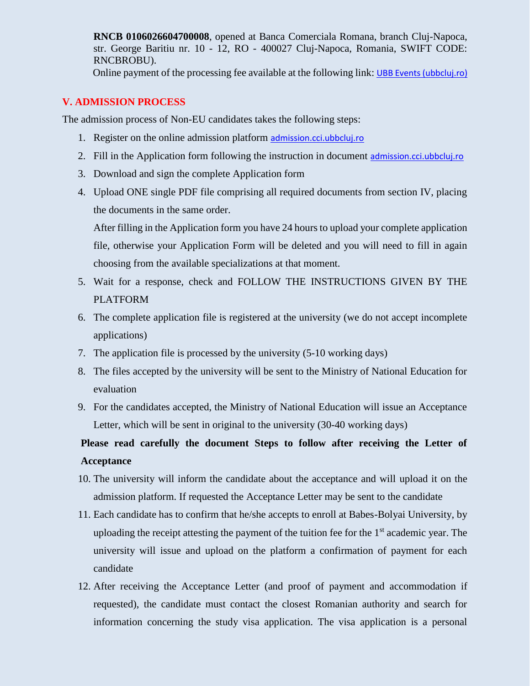**RNCB 0106026604700008**, opened at Banca Comerciala Romana, branch Cluj-Napoca, str. George Baritiu nr. 10 - 12, RO - 400027 Cluj-Napoca, Romania, SWIFT CODE: RNCBROBU).

Online payment of the processing fee available at the following link: [UBB Events \(ubbcluj.ro\)](https://plati.ubbcluj.ro/en/Event/Details/81)

## **V. ADMISSION PROCESS**

The admission process of Non-EU candidates takes the following steps:

- 1. Register on the online admission platform [admission.cci.ubbcluj.ro](http://admission.cci.ubbcluj.ro/)
- 2. Fill in the Application form following the instruction in document [admission.cci.ubbcluj.ro](http://admission.cci.ubbcluj.ro/)
- 3. Download and sign the complete Application form
- 4. Upload ONE single PDF file comprising all required documents from section IV, placing the documents in the same order.

After filling in the Application form you have 24 hours to upload your complete application file, otherwise your Application Form will be deleted and you will need to fill in again choosing from the available specializations at that moment.

- 5. Wait for a response, check and FOLLOW THE INSTRUCTIONS GIVEN BY THE PLATFORM
- 6. The complete application file is registered at the university (we do not accept incomplete applications)
- 7. The application file is processed by the university (5-10 working days)
- 8. The files accepted by the university will be sent to the Ministry of National Education for evaluation
- 9. For the candidates accepted, the Ministry of National Education will issue an Acceptance Letter, which will be sent in original to the university (30-40 working days)

# **Please read carefully the document Steps to follow after receiving the Letter of Acceptance**

- 10. The university will inform the candidate about the acceptance and will upload it on the admission platform. If requested the Acceptance Letter may be sent to the candidate
- 11. Each candidate has to confirm that he/she accepts to enroll at Babes-Bolyai University, by uploading the receipt attesting the payment of the tuition fee for the  $1<sup>st</sup>$  academic year. The university will issue and upload on the platform a confirmation of payment for each candidate
- 12. After receiving the Acceptance Letter (and proof of payment and accommodation if requested), the candidate must contact the closest Romanian authority and search for information concerning the study visa application. The visa application is a personal